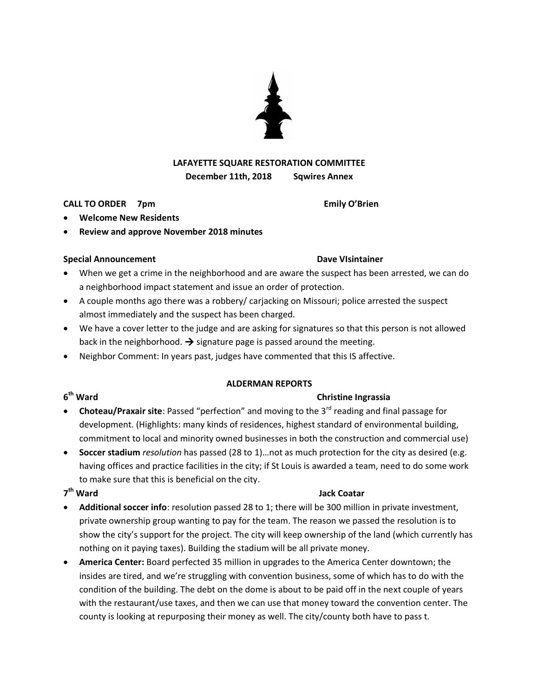# **LAFAYETTE SQUARE RESTORATION COMMITTEE December 11th, 2018 Sqwires Annex**

## **CALL TO ORDER 7pm Emily O'Brien**

- **Welcome New Residents**
- **Review and approve November 2018 minutes**

### **Special Announcement Community Community Community Community Community Community Community Dave VIsintainer**

- When we get a crime in the neighborhood and are aware the suspect has been arrested, we can do a neighborhood impact statement and issue an order of protection.
- A couple months ago there was a robbery/ carjacking on Missouri; police arrested the suspect almost immediately and the suspect has been charged.
- We have a cover letter to the judge and are asking for signatures so that this person is not allowed back in the neighborhood.  $\rightarrow$  signature page is passed around the meeting.
- Neighbor Comment: In years past, judges have commented that this IS affective.

### **ALDERMAN REPORTS**

# **Christine Ingrassia**

- **Choteau/Praxair site**: Passed "perfection" and moving to the 3<sup>rd</sup> reading and final passage for development. (Highlights: many kinds of residences, highest standard of environmental building, commitment to local and minority owned businesses in both the construction and commercial use)
- **Soccer stadium** *resolution* has passed (28 to 1)…not as much protection for the city as desired (e.g. having offices and practice facilities in the city; if St Louis is awarded a team, need to do some work to make sure that this is beneficial on the city.

# 7<sup>th</sup> Ward

- **Additional soccer info**: resolution passed 28 to 1; there will be 300 million in private investment, private ownership group wanting to pay for the team. The reason we passed the resolution is to show the city's support for the project. The city will keep ownership of the land (which currently has nothing on it paying taxes). Building the stadium will be all private money.
- **America Center:** Board perfected 35 million in upgrades to the America Center downtown; the insides are tired, and we're struggling with convention business, some of which has to do with the condition of the building. The debt on the dome is about to be paid off in the next couple of years with the restaurant/use taxes, and then we can use that money toward the convention center. The county is looking at repurposing their money as well. The city/county both have to pass t.





# 6<sup>th</sup> Ward

# **Jack Coatar**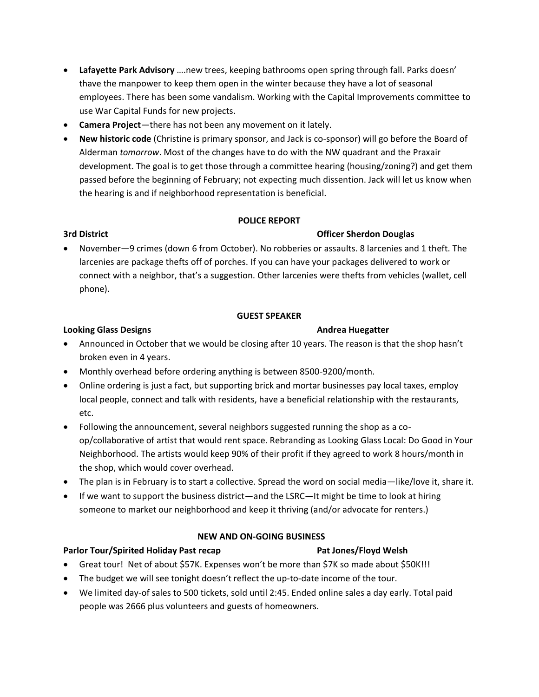- **Lafayette Park Advisory** ….new trees, keeping bathrooms open spring through fall. Parks doesn' thave the manpower to keep them open in the winter because they have a lot of seasonal employees. There has been some vandalism. Working with the Capital Improvements committee to use War Capital Funds for new projects.
- **Camera Project**—there has not been any movement on it lately.
- **New historic code** (Christine is primary sponsor, and Jack is co-sponsor) will go before the Board of Alderman *tomorrow*. Most of the changes have to do with the NW quadrant and the Praxair development. The goal is to get those through a committee hearing (housing/zoning?) and get them passed before the beginning of February; not expecting much dissention. Jack will let us know when the hearing is and if neighborhood representation is beneficial.

## **POLICE REPORT**

# **3rd District Officer Sherdon Douglas**

 November—9 crimes (down 6 from October). No robberies or assaults. 8 larcenies and 1 theft. The larcenies are package thefts off of porches. If you can have your packages delivered to work or connect with a neighbor, that's a suggestion. Other larcenies were thefts from vehicles (wallet, cell phone).

## **GUEST SPEAKER**

## **Looking Glass Designs Andrea Huegatter**

- Announced in October that we would be closing after 10 years. The reason is that the shop hasn't broken even in 4 years.
- Monthly overhead before ordering anything is between 8500-9200/month.
- Online ordering is just a fact, but supporting brick and mortar businesses pay local taxes, employ local people, connect and talk with residents, have a beneficial relationship with the restaurants, etc.
- Following the announcement, several neighbors suggested running the shop as a coop/collaborative of artist that would rent space. Rebranding as Looking Glass Local: Do Good in Your Neighborhood. The artists would keep 90% of their profit if they agreed to work 8 hours/month in the shop, which would cover overhead.
- The plan is in February is to start a collective. Spread the word on social media—like/love it, share it.
- If we want to support the business district—and the LSRC—It might be time to look at hiring someone to market our neighborhood and keep it thriving (and/or advocate for renters.)

# **NEW AND ON-GOING BUSINESS**

# **Parlor Tour/Spirited Holiday Past recap Pat Jones/Floyd Welsh**

- Great tour! Net of about \$57K. Expenses won't be more than \$7K so made about \$50K!!!
- The budget we will see tonight doesn't reflect the up-to-date income of the tour.
- We limited day-of sales to 500 tickets, sold until 2:45. Ended online sales a day early. Total paid people was 2666 plus volunteers and guests of homeowners.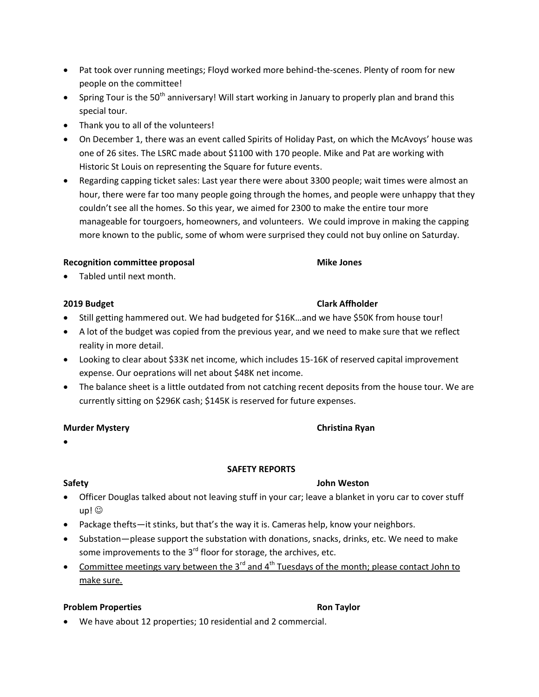- Pat took over running meetings; Floyd worked more behind-the-scenes. Plenty of room for new people on the committee!
- Spring Tour is the 50<sup>th</sup> anniversary! Will start working in January to properly plan and brand this special tour.
- Thank you to all of the volunteers!
- On December 1, there was an event called Spirits of Holiday Past, on which the McAvoys' house was one of 26 sites. The LSRC made about \$1100 with 170 people. Mike and Pat are working with Historic St Louis on representing the Square for future events.
- Regarding capping ticket sales: Last year there were about 3300 people; wait times were almost an hour, there were far too many people going through the homes, and people were unhappy that they couldn't see all the homes. So this year, we aimed for 2300 to make the entire tour more manageable for tourgoers, homeowners, and volunteers. We could improve in making the capping more known to the public, some of whom were surprised they could not buy online on Saturday.

# **Recognition committee proposal and Mike Jones**

Tabled until next month.

- Still getting hammered out. We had budgeted for \$16K...and we have \$50K from house tour!
- A lot of the budget was copied from the previous year, and we need to make sure that we reflect reality in more detail.
- Looking to clear about \$33K net income, which includes 15-16K of reserved capital improvement expense. Our oeprations will net about \$48K net income.
- The balance sheet is a little outdated from not catching recent deposits from the house tour. We are currently sitting on \$296K cash; \$145K is reserved for future expenses.

# **Murder Mystery Christina Ryan**

 $\bullet$ 

# **SAFETY REPORTS**

- Officer Douglas talked about not leaving stuff in your car; leave a blanket in yoru car to cover stuff up! ©
- Package thefts—it stinks, but that's the way it is. Cameras help, know your neighbors.
- Substation—please support the substation with donations, snacks, drinks, etc. We need to make some improvements to the  $3^{rd}$  floor for storage, the archives, etc.
- Committee meetings vary between the  $3^{rd}$  and  $4^{th}$  Tuesdays of the month; please contact John to make sure.

# **Problem Properties According to Problem Properties** Ron Taylor

We have about 12 properties; 10 residential and 2 commercial.

# **Safety John Weston**

# **2019 Budget Clark Affholder**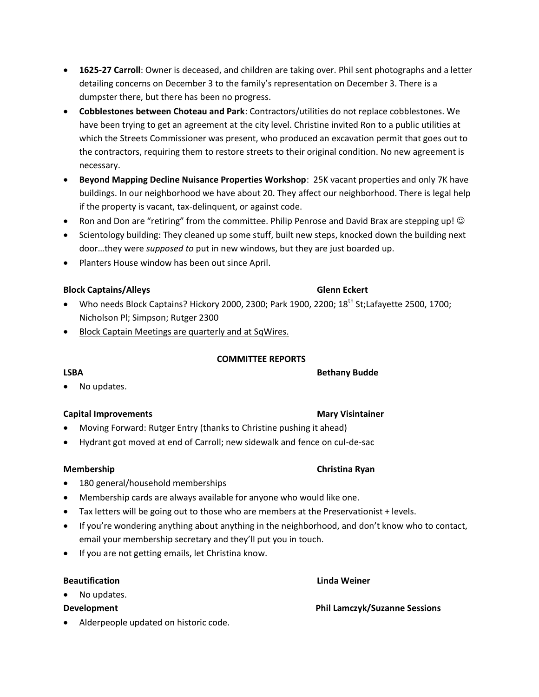- **1625-27 Carroll**: Owner is deceased, and children are taking over. Phil sent photographs and a letter detailing concerns on December 3 to the family's representation on December 3. There is a dumpster there, but there has been no progress.
- **Cobblestones between Choteau and Park**: Contractors/utilities do not replace cobblestones. We have been trying to get an agreement at the city level. Christine invited Ron to a public utilities at which the Streets Commissioner was present, who produced an excavation permit that goes out to the contractors, requiring them to restore streets to their original condition. No new agreement is necessary.
- **Beyond Mapping Decline Nuisance Properties Workshop**:25K vacant properties and only 7K have buildings. In our neighborhood we have about 20. They affect our neighborhood. There is legal help if the property is vacant, tax-delinquent, or against code.
- Ron and Don are "retiring" from the committee. Philip Penrose and David Brax are stepping up!  $\odot$
- Scientology building: They cleaned up some stuff, built new steps, knocked down the building next door…they were *supposed to* put in new windows, but they are just boarded up.
- Planters House window has been out since April.

### **Block Captains/Alleys** Glenn Eckert

- Who needs Block Captains? Hickory 2000, 2300; Park 1900, 2200; 18<sup>th</sup> St;Lafayette 2500, 1700; Nicholson Pl; Simpson; Rutger 2300
- Block Captain Meetings are quarterly and at SqWires.

### **COMMITTEE REPORTS**

LSBA Bethany Budde

• No updates.

### **Capital Improvements Community Community Community Capital Improvements** Mary Visintainer

- Moving Forward: Rutger Entry (thanks to Christine pushing it ahead)
- Hydrant got moved at end of Carroll; new sidewalk and fence on cul-de-sac

### **Membership Christina Ryan**

- 180 general/household memberships
- Membership cards are always available for anyone who would like one.
- Tax letters will be going out to those who are members at the Preservationist + levels.
- If you're wondering anything about anything in the neighborhood, and don't know who to contact, email your membership secretary and they'll put you in touch.
- If you are not getting emails, let Christina know.

### **Beautification Linda Weiner**

- No updates.
- 
- Alderpeople updated on historic code.

# **Development Phil Lamczyk/Suzanne Sessions**